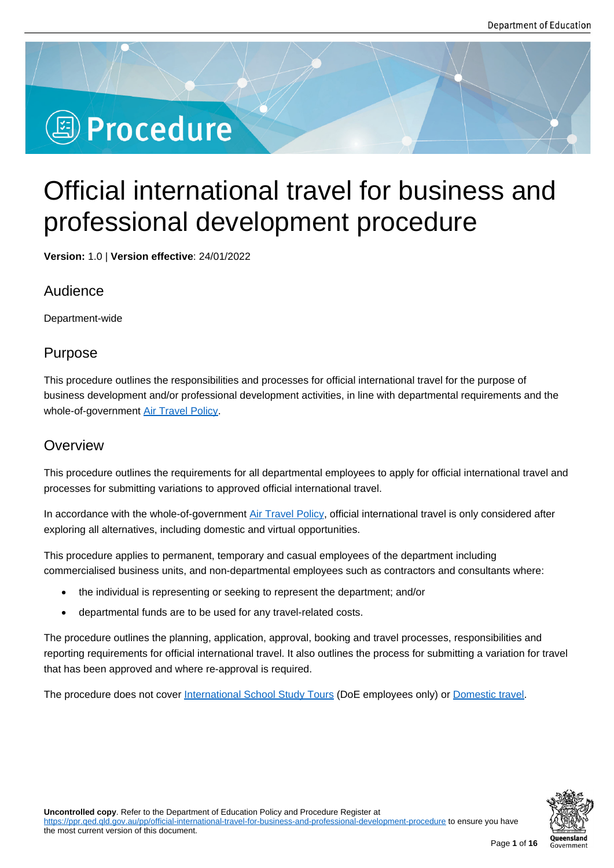# **<sup><sup>3</sup>** Procedure</sub></sup>

## Official international travel for business and professional development procedure

**Version:** 1.0 | **Version effective**: 24/01/2022

## Audience

Department-wide

## Purpose

This procedure outlines the responsibilities and processes for official international travel for the purpose of business development and/or professional development activities, in line with departmental requirements and the whole-of-government Air Travel Policy.

## **Overview**

This procedure outlin[es the requiremen](http://procurement.govnet.qld.gov.au/travel/Documents/Air_Travel_Policy.pdf)ts for all departmental employees to apply for official international travel and processes for submitting variations to approved official international travel.

In accordance with the whole-of-government Air Travel Policy, official international travel is only considered after exploring all alternatives, including domestic and virtual opportunities.

This procedure applies to permanent, temporary and casual employees of the department including commercialised business units, and non-dep[artmental employ](http://procurement.govnet.qld.gov.au/travel/Documents/Air_Travel_Policy.pdf)ees such as contractors and consultants where:

- the individual is representing or seeking to represent the department; and/or
- departmental funds are to be used for any travel-related costs.

The procedure outlines the planning, application, approval, booking and travel processes, responsibilities and reporting requirements for official international travel. It also outlines the process for submitting a variation for travel that has been approved and where re-approval is required.

The procedure does not cover International School Study Tours (DoE employees only) or Domestic travel.

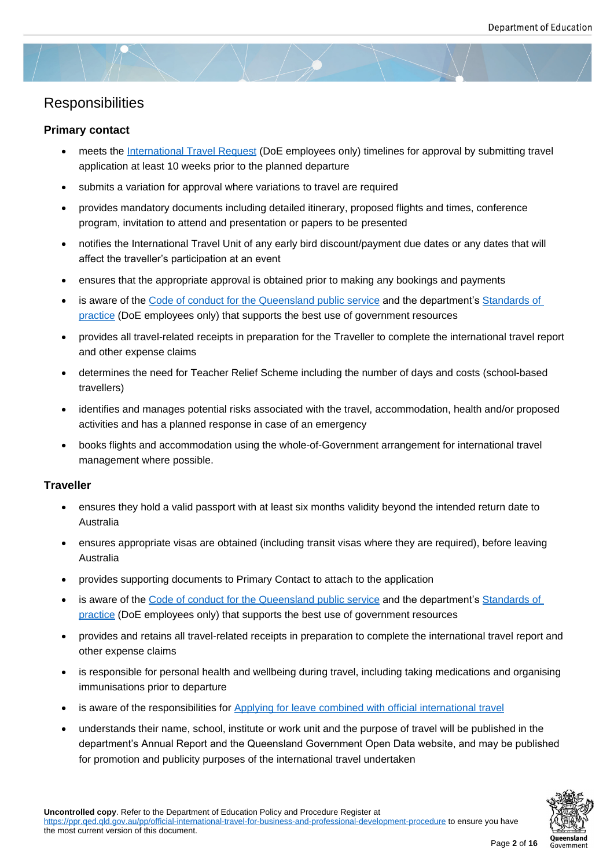## **Responsibilities**

#### **Primary contact**

- meets the International Travel Request (DoE employees only) timelines for approval by submitting travel application at least 10 weeks prior to the planned departure
- submits a variation for approval where variations to travel are required
- provides [mandatory documents includin](https://qlddet.service-now.com/sco/?id=sc_cat_item&sys_id=b7e0ec726f1a8200405b056f5d3ee46c)g detailed itinerary, proposed flights and times, conference program, invitation to attend and presentation or papers to be presented
- notifies the International Travel Unit of any early bird discount/payment due dates or any dates that will affect the traveller's participation at an event
- ensures that the appropriate approval is obtained prior to making any bookings and payments
- is aware of the Code of conduct for the Queensland public service and the department's Standards of practice (DoE employees only) that supports the best use of government resources
- provides all travel-related receipts in preparation for the Traveller to complete the international travel report and other expe[nse claims](https://www.forgov.qld.gov.au/code-conduct-queensland-public-service)
- [determin](https://intranet.qed.qld.gov.au/Services/HumanResources/payrollhr/careers/corporateschoolsupportstaffrecruitmentselection/Pages/standards-practice-corporate-and-school-support-staff.aspx)es the need for Teacher Relief Scheme including the number of days and costs (school-based travellers)
- identifies and manages potential risks associated with the travel, accommodation, health and/or proposed activities and has a planned response in case of an emergency
- books flights and accommodation using the whole-of-Government arrangement for international travel management where possible.

#### **Traveller**

- ensures they hold a valid passport with at least six months validity beyond the intended return date to Australia
- ensures appropriate visas are obtained (including transit visas where they are required), before leaving Australia
- provides supporting documents to Primary Contact to attach to the application
- is aware of the Code of conduct for the Queensland public service and the department's Standards of practice (DoE employees only) that supports the best use of government resources
- provides and retains all travel-related receipts in preparation to complete the international travel report and other expense [claims](https://www.forgov.qld.gov.au/code-conduct-queensland-public-service)
- [is respon](https://intranet.qed.qld.gov.au/Services/HumanResources/payrollhr/careers/corporateschoolsupportstaffrecruitmentselection/Pages/standards-practice-corporate-and-school-support-staff.aspx)sible for personal health and wellbeing during travel, including taking medications and organising immunisations prior to departure
- is aware of the responsibilities for Applying for leave combined with official international travel
- understands their name, school, institute or work unit and the purpose of travel will be published in the department's Annual Report and the Queensland Government Open Data website, and may be published for promotion and publicity purpo[ses of the international travel undertaken](https://ppr.qed.qld.gov.au/pp/applying-for-leave-combined-with-official-international-travel-procedure)

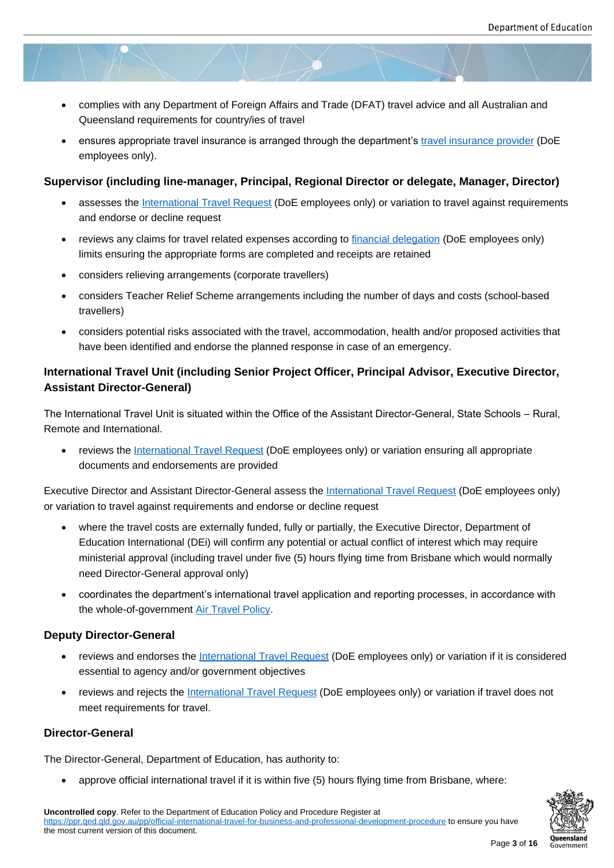- complies with any Department of Foreign Affairs and Trade (DFAT) travel advice and all Australian and Queensland requirements for country/ies of travel
- ensures appropriate travel insurance is arranged through the department's travel insurance provider (DoE employees only).

#### **Supervisor (including line-manager, Principal, Regional Director or de[legate, Manager, Dire](https://intranet.qed.qld.gov.au/Services/Procurement_Purchasing/Supplyarrangements/Pages/travel-insurance.aspx)ctor)**

- assesses the International Travel Request (DoE employees only) or variation to travel against requirements and endorse or decline request
- reviews any claims for travel related expenses according to financial delegation (DoE employees only) limits ensurin[g the appropriate forms are c](https://qlddet.service-now.com/sco/?id=sc_cat_item&sys_id=b7e0ec726f1a8200405b056f5d3ee46c)ompleted and receipts are retained
- considers relieving arrangements (corporate travellers)
- considers Teacher Relief Scheme arrangements including t[he number of days a](https://intranet.qed.qld.gov.au/Services/Finance/Delegations)nd costs (school-based travellers)
- considers potential risks associated with the travel, accommodation, health and/or proposed activities that have been identified and endorse the planned response in case of an emergency.

#### **International Travel Unit (including Senior Project Officer, Principal Advisor, Executive Director, Assistant Director-General)**

The International Travel Unit is situated within the Office of the Assistant Director-General, State Schools – Rural, Remote and International.

• reviews the International Travel Request (DoE employees only) or variation ensuring all appropriate documents and endorsements are provided

Executive Director and Assistant Director-General assess the International Travel Request (DoE employees only) or variation to trave[l against requirements and en](https://qlddet.service-now.com/sco/?id=sc_cat_item&sys_id=b7e0ec726f1a8200405b056f5d3ee46c)dorse or decline request

- where the travel costs are externally funded, fully or partially, the Executive Director, Department of Education International (DEi) will confirm any potential [or actual conflict of interest w](https://qlddet.service-now.com/sco/?id=sc_cat_item&sys_id=b7e0ec726f1a8200405b056f5d3ee46c&parent_category=782a312f4f9a8740c63920201310c75d)hich may require ministerial approval (including travel under five (5) hours flying time from Brisbane which would normally need Director-General approval only)
- coordinates the department's international travel application and reporting processes, in accordance with the whole-of-government Air Travel Policy.

#### **Deputy Director-General**

- reviews and endorses th[e International Tra](http://procurement.govnet.qld.gov.au/travel/Documents/Air_Travel_Policy.pdf)vel Request (DoE employees only) or variation if it is considered essential to agency and/or government objectives
- reviews and rejects the International Travel Request (DoE employees only) or variation if travel does not meet requirements for tra[vel.](https://qlddet.service-now.com/sco/?id=sc_cat_item&sys_id=b7e0ec726f1a8200405b056f5d3ee46c&parent_category=782a312f4f9a8740c63920201310c75d)

#### **Director-General**

The Director-General, Department of Education, has authority to:

approve official international travel if it is within five (5) hours flying time from Brisbane, where: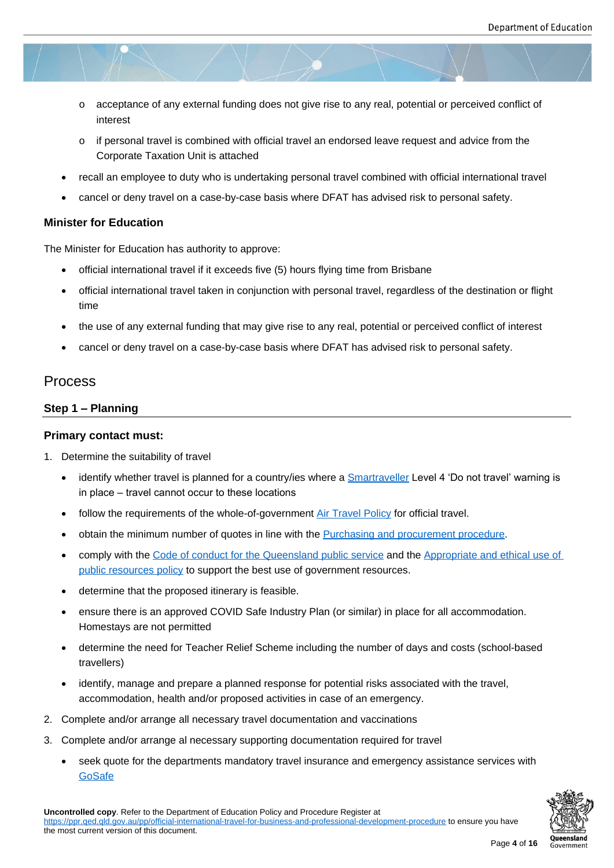- o acceptance of any external funding does not give rise to any real, potential or perceived conflict of interest
- $\circ$  if personal travel is combined with official travel an endorsed leave request and advice from the Corporate Taxation Unit is attached
- recall an employee to duty who is undertaking personal travel combined with official international travel
- cancel or deny travel on a case-by-case basis where DFAT has advised risk to personal safety.

#### **Minister for Education**

The Minister for Education has authority to approve:

- official international travel if it exceeds five (5) hours flying time from Brisbane
- official international travel taken in conjunction with personal travel, regardless of the destination or flight time
- the use of any external funding that may give rise to any real, potential or perceived conflict of interest
- cancel or deny travel on a case-by-case basis where DFAT has advised risk to personal safety.

#### Process

#### **Step 1 – Planning**

#### **Primary contact must:**

- 1. Determine the suitability of travel
	- identify whether travel is planned for a country/ies where a **Smartraveller** Level 4 'Do not travel' warning is in place – travel cannot occur to these locations
	- follow the requirements of the whole-of-government Air Travel Policy for official travel.
	- obtain the minimum number of quotes in line with the Purc[hasing and pro](https://www.smartraveller.gov.au/)curement procedure.
	- comply with the Code of conduct for the Queensland public service and the Appropriate and ethical use of public resources policy to support the best use of g[overnment resour](http://procurement.govnet.qld.gov.au/travel/Documents/Air_Travel_Policy.pdf)ces.
	- determine that the proposed itinerary is feasible.
	- ensure there is [an approved COVID Safe Industry Plan \(or similar\)](https://www.forgov.qld.gov.au/code-conduct-queensland-public-service) in place [for all accommodation.](https://ppr.qed.qld.gov.au/attachment/appropriate-and-ethical-use-of-public-resources-policy.pdf)  [Homestays are not perm](https://ppr.qed.qld.gov.au/attachment/appropriate-and-ethical-use-of-public-resources-policy.pdf)itted
	- determine the need for Teacher Relief Scheme including the number of days and costs (school-based travellers)
	- identify, manage and prepare a planned response for potential risks associated with the travel, accommodation, health and/or proposed activities in case of an emergency.
- 2. Complete and/or arrange all necessary travel documentation and vaccinations
- 3. Complete and/or arrange al necessary supporting documentation required for travel
	- seek quote for the departments mandatory travel insurance and emergency assistance services with **GoSafe**

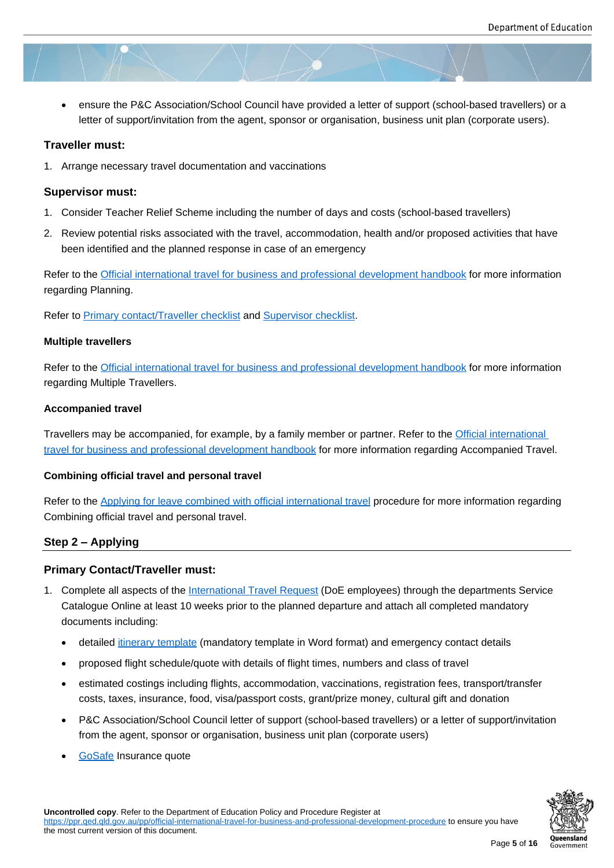ensure the P&C Association/School Council have provided a letter of support (school-based travellers) or a letter of support/invitation from the agent, sponsor or organisation, business unit plan (corporate users).

#### **Traveller must:**

1. Arrange necessary travel documentation and vaccinations

#### **Supervisor must:**

- 1. Consider Teacher Relief Scheme including the number of days and costs (school-based travellers)
- 2. Review potential risks associated with the travel, accommodation, health and/or proposed activities that have been identified and the planned response in case of an emergency

Refer to the Official international travel for business and professional development handbook for more information regarding Planning.

Refer to Pri[mary contact/Traveller checklist and Supervisor checklist.](https://ppr.qed.qld.gov.au/attachment/official-international-travel-for-business-and-professional-development-handbook.docx)

#### **Multiple travellers**

Refer to [the Official international travel for b](https://ppr.qed.qld.gov.au/attachment/primary-contact-traveller-checklist.docx)usin[ess and professional](https://ppr.qed.qld.gov.au/attachment/supervisor-checklist.docx) development handbook for more information regarding Multiple Travellers.

#### **Accompani[ed travel](https://ppr.qed.qld.gov.au/attachment/official-international-travel-for-business-and-professional-development-handbook.docx)**

Travellers may be accompanied, for example, by a family member or partner. Refer to the Official international travel for business and professional development handbook for more information regarding Accompanied Travel.

#### **Combining official travel and personal travel**

[Refer to the Applying for leave combined with official interna](https://ppr.qed.qld.gov.au/attachment/official-international-travel-for-business-and-professional-development-handbook.docx)tional travel procedure for more information regarding Combining official travel and personal travel.

#### **Step 2 – A[pplying](https://ppr.qed.qld.gov.au/pp/applying-for-leave-combined-with-official-international-travel-procedure%20)**

#### **Primary Contact/Traveller must:**

- 1. Complete all aspects of the International Travel Request (DoE employees) through the departments Service Catalogue Online at least 10 weeks prior to the planned departure and attach all completed mandatory documents including:
	- detailed itinerary template [\(mandatory template in Wo](https://qlddet.service-now.com/sco/?id=sc_cat_item&sys_id=b7e0ec726f1a8200405b056f5d3ee46c)rd format) and emergency contact details
	- proposed flight schedule/quote with details of flight times, numbers and class of travel
	- estimated costings including flights, accommodation, vaccinations, registration fees, transport/transfer costs, ta[xes, insurance, fo](https://ppr.qed.qld.gov.au/attachment/official-international-travel-for-business-and-professional-development-itinerary-template.docx)od, visa/passport costs, grant/prize money, cultural gift and donation
	- P&C Association/School Council letter of support (school-based travellers) or a letter of support/invitation from the agent, sponsor or organisation, business unit plan (corporate users)
	- GoSafe Insurance quote

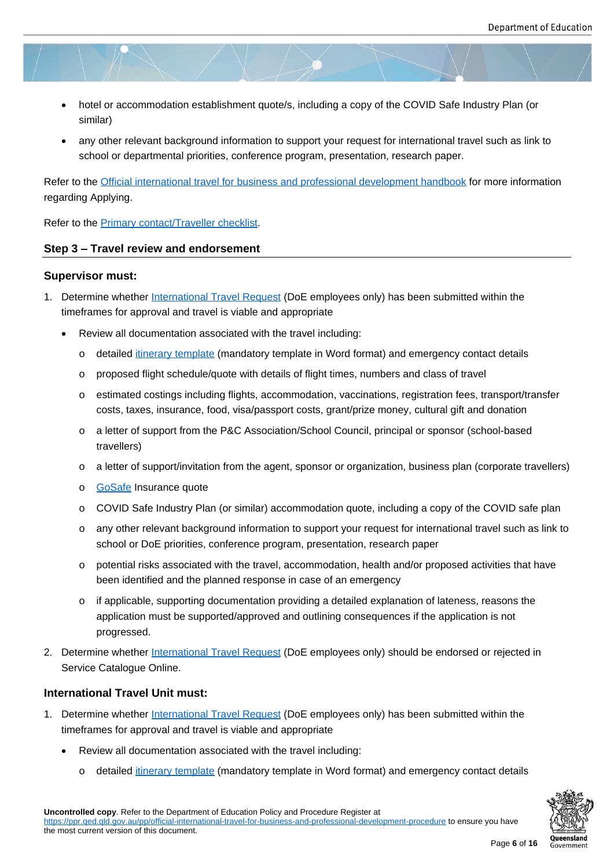- hotel or accommodation establishment quote/s, including a copy of the COVID Safe Industry Plan (or similar)
- any other relevant background information to support your request for international travel such as link to school or departmental priorities, conference program, presentation, research paper.

Refer to the Official international travel for business and professional development handbook for more information regarding Applying.

Refer to the **Primary contact/Traveller checklist**.

#### **Step 3 – Travel review and endorsement**

#### **Superviso[r must:](https://ppr.qed.qld.gov.au/attachment/primary-contact-traveller-checklist.docx)**

- 1. Determine whether International Travel Request (DoE employees only) has been submitted within the timeframes for approval and travel is viable and appropriate
	- Review all documentation associated with the travel including:
		- o detailed itin[erary template \(mandatory te](https://qlddet.service-now.com/sco/?id=sc_cat_item&sys_id=b7e0ec726f1a8200405b056f5d3ee46c)mplate in Word format) and emergency contact details
		- o proposed flight schedule/quote with details of flight times, numbers and class of travel
		- o estimated costings including flights, accommodation, vaccinations, registration fees, transport/transfer costs, ta[xes, insurance, fo](https://ppr.qed.qld.gov.au/attachment/official-international-travel-for-business-and-professional-development-itinerary-template.docx)od, visa/passport costs, grant/prize money, cultural gift and donation
		- o a letter of support from the P&C Association/School Council, principal or sponsor (school-based travellers)
		- o a letter of support/invitation from the agent, sponsor or organization, business plan (corporate travellers)
		- o **GoSafe** Insurance quote
		- o COVID Safe Industry Plan (or similar) accommodation quote, including a copy of the COVID safe plan
		- o any other relevant background information to support your request for international travel such as link to [school o](https://www.gosafeinsurance.com.au/)r DoE priorities, conference program, presentation, research paper
		- $\circ$  potential risks associated with the travel, accommodation, health and/or proposed activities that have been identified and the planned response in case of an emergency
		- $\circ$  if applicable, supporting documentation providing a detailed explanation of lateness, reasons the application must be supported/approved and outlining consequences if the application is not progressed.
- 2. Determine whether International Travel Request (DoE employees only) should be endorsed or rejected in Service Catalogue Online.

#### **International Travel [Unit must:](https://qlddet.service-now.com/sco/?id=sc_cat_item&sys_id=b7e0ec726f1a8200405b056f5d3ee46c)**

- 1. Determine whether International Travel Request (DoE employees only) has been submitted within the timeframes for approval and travel is viable and appropriate
	- Review all documentation associated with the travel including:
		- o detailed itin[erary template \(mandatory te](https://qlddet.service-now.com/sco/?id=sc_cat_item&sys_id=b7e0ec726f1a8200405b056f5d3ee46c)mplate in Word format) and emergency contact details



**Uncontrolled copy**. Refer to the Department of Education Policy and Procedure Register at https://ppr.qed.qld.gov.a[u/pp/official-internation](https://ppr.qed.qld.gov.au/attachment/official-international-travel-for-business-and-professional-development-itinerary-template.docx)al-travel-for-business-and-professional-development-procedure to ensure you have

the most current version of this document.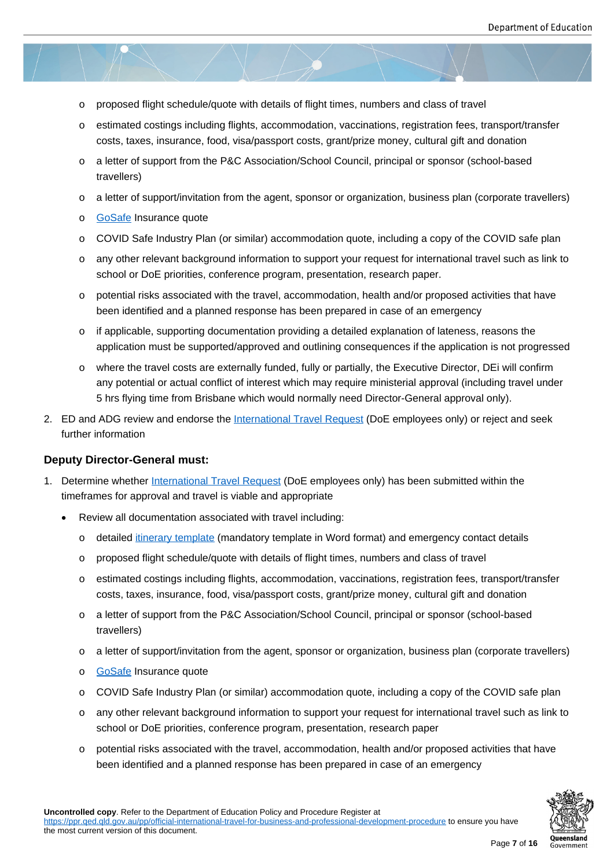- o proposed flight schedule/quote with details of flight times, numbers and class of travel
- o estimated costings including flights, accommodation, vaccinations, registration fees, transport/transfer costs, taxes, insurance, food, visa/passport costs, grant/prize money, cultural gift and donation
- o a letter of support from the P&C Association/School Council, principal or sponsor (school-based travellers)
- o a letter of support/invitation from the agent, sponsor or organization, business plan (corporate travellers)
- o GoSafe Insurance quote
- o COVID Safe Industry Plan (or similar) accommodation quote, including a copy of the COVID safe plan
- o any other relevant background information to support your request for international travel such as link to [school o](https://www.gosafeinsurance.com.au/)r DoE priorities, conference program, presentation, research paper.
- $\circ$  potential risks associated with the travel, accommodation, health and/or proposed activities that have been identified and a planned response has been prepared in case of an emergency
- $\circ$  if applicable, supporting documentation providing a detailed explanation of lateness, reasons the application must be supported/approved and outlining consequences if the application is not progressed
- o where the travel costs are externally funded, fully or partially, the Executive Director, DEi will confirm any potential or actual conflict of interest which may require ministerial approval (including travel under 5 hrs flying time from Brisbane which would normally need Director-General approval only).
- 2. ED and ADG review and endorse the International Travel Request (DoE employees only) or reject and seek further information

#### **Deputy Director-General must:**

- 1. Determine whether International Travel Request (DoE employees only) has been submitted within the timeframes for approval and travel is viable and appropriate
	- Review all documentation associated with travel including:
		- o detailed itin[erary template \(mandatory te](https://qlddet.service-now.com/sco/?id=sc_cat_item&sys_id=b7e0ec726f1a8200405b056f5d3ee46c)mplate in Word format) and emergency contact details
		- o proposed flight schedule/quote with details of flight times, numbers and class of travel
		- o estimated costings including flights, accommodation, vaccinations, registration fees, transport/transfer costs, ta[xes, insurance, fo](https://ppr.qed.qld.gov.au/attachment/official-international-travel-for-business-and-professional-development-itinerary-template.docx)od, visa/passport costs, grant/prize money, cultural gift and donation
		- o a letter of support from the P&C Association/School Council, principal or sponsor (school-based travellers)
		- o a letter of support/invitation from the agent, sponsor or organization, business plan (corporate travellers)
		- o **GoSafe** Insurance quote
		- o COVID Safe Industry Plan (or similar) accommodation quote, including a copy of the COVID safe plan
		- o any other relevant background information to support your request for international travel such as link to [school o](https://www.gosafeinsurance.com.au/)r DoE priorities, conference program, presentation, research paper
		- o potential risks associated with the travel, accommodation, health and/or proposed activities that have been identified and a planned response has been prepared in case of an emergency

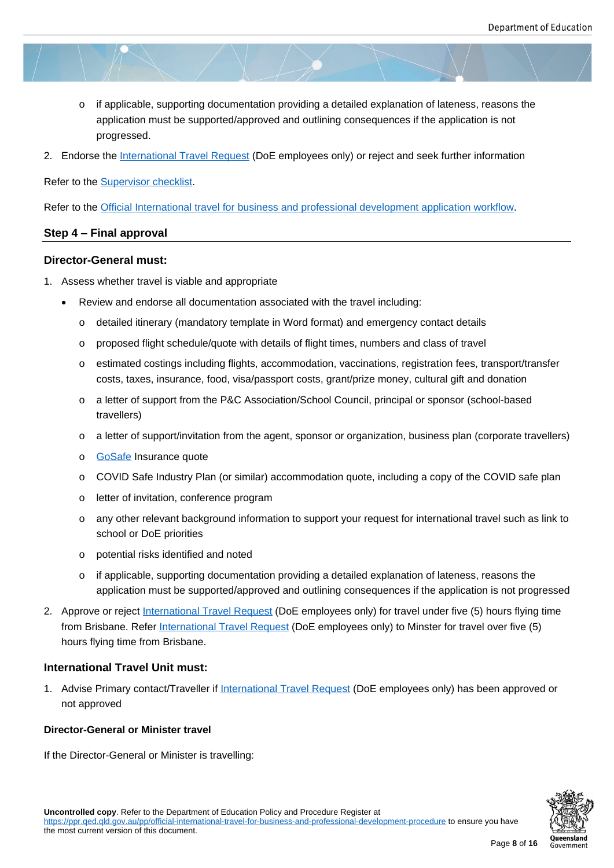- $\circ$  if applicable, supporting documentation providing a detailed explanation of lateness, reasons the application must be supported/approved and outlining consequences if the application is not progressed.
- 2. Endorse the International Travel Request (DoE employees only) or reject and seek further information

Refer to the Supervisor checklist.

Refer to the Offi[cial International travel for bus](https://qlddet.service-now.com/sco/?id=sc_cat_item&sys_id=b7e0ec726f1a8200405b056f5d3ee46c)iness and professional development application workflow.

#### **Step 4 – Fi[nal approval](https://ppr.qed.qld.gov.au/attachment/supervisor-checklist.docx)**

#### **Director-G[eneral must:](https://ppr.qed.qld.gov.au/attachment/official-international-travel-for-business-and-professional-development-application-workflow.pdf)**

- 1. Assess whether travel is viable and appropriate
	- Review and endorse all documentation associated with the travel including:
		- o detailed itinerary (mandatory template in Word format) and emergency contact details
		- o proposed flight schedule/quote with details of flight times, numbers and class of travel
		- o estimated costings including flights, accommodation, vaccinations, registration fees, transport/transfer costs, taxes, insurance, food, visa/passport costs, grant/prize money, cultural gift and donation
		- o a letter of support from the P&C Association/School Council, principal or sponsor (school-based travellers)
		- o a letter of support/invitation from the agent, sponsor or organization, business plan (corporate travellers)
		- o **GoSafe** Insurance quote
		- o COVID Safe Industry Plan (or similar) accommodation quote, including a copy of the COVID safe plan
		- o [letter of](https://www.gosafeinsurance.com.au/) invitation, conference program
		- o any other relevant background information to support your request for international travel such as link to school or DoE priorities
		- o potential risks identified and noted
		- $\circ$  if applicable, supporting documentation providing a detailed explanation of lateness, reasons the application must be supported/approved and outlining consequences if the application is not progressed
- 2. Approve or reject International Travel Request (DoE employees only) for travel under five (5) hours flying time from Brisbane. Refer International Travel Request (DoE employees only) to Minster for travel over five (5) hours flying time from Brisbane.

#### **International Trav[el Unit must:](https://qlddet.service-now.com/sco/?id=sc_cat_item&sys_id=b7e0ec726f1a8200405b056f5d3ee46c)**

1. Advise Primary contact/Traveller if International Travel Request (DoE employees only) has been approved or not approved

#### **Director-General or Minister travel**

If the Director-General or Minister is travelling: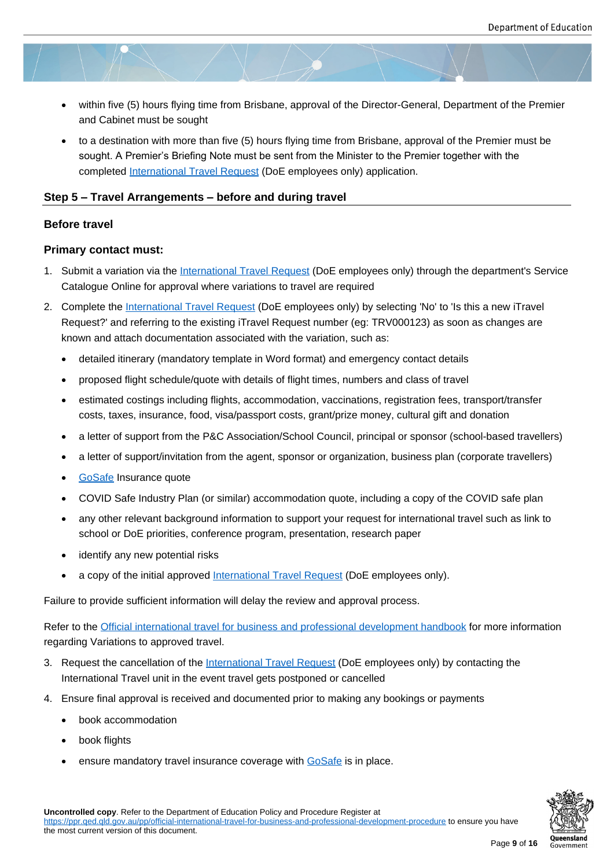- within five (5) hours flying time from Brisbane, approval of the Director-General, Department of the Premier and Cabinet must be sought
- to a destination with more than five (5) hours flying time from Brisbane, approval of the Premier must be sought. A Premier's Briefing Note must be sent from the Minister to the Premier together with the completed International Travel Request (DoE employees only) application.

#### **Step 5 – Travel Arrangements – before and during travel**

#### **Before travel**

#### **Primary contact must:**

- 1. Submit a variation via the International Travel Request (DoE employees only) through the department's Service Catalogue Online for approval where variations to travel are required
- 2. Complete the International Travel Request (DoE employees only) by selecting 'No' to 'Is this a new iTravel Request?' and referring to [the existing iTravel Request](https://qlddet.service-now.com/sco/?id=sc_cat_item&sys_id=b7e0ec726f1a8200405b056f5d3ee46c) number (eg: TRV000123) as soon as changes are known and attach documentation associated with the variation, such as:
	- detailed iti[nerary \(mandatory template](https://qlddet.service-now.com/sco/?id=sc_cat_item&sys_id=b7e0ec726f1a8200405b056f5d3ee46c) in Word format) and emergency contact details
	- proposed flight schedule/quote with details of flight times, numbers and class of travel
	- estimated costings including flights, accommodation, vaccinations, registration fees, transport/transfer costs, taxes, insurance, food, visa/passport costs, grant/prize money, cultural gift and donation
	- a letter of support from the P&C Association/School Council, principal or sponsor (school-based travellers)
	- a letter of support/invitation from the agent, sponsor or organization, business plan (corporate travellers)
	- GoSafe Insurance quote
	- COVID Safe Industry Plan (or similar) accommodation quote, including a copy of the COVID safe plan
	- any other relevant background information to support your request for international travel such as link to [school o](https://www.gosafeinsurance.com.au/)r DoE priorities, conference program, presentation, research paper
	- identify any new potential risks
	- a copy of the initial approved International Travel Request (DoE employees only).

Failure to provide sufficient information will delay the review and approval process.

Refer to the Official international trav[el for business and professio](https://qlddet.service-now.com/sco/?id=sc_cat_item&sys_id=b7e0ec726f1a8200405b056f5d3ee46c)nal development handbook for more information regarding Variations to approved travel.

- 3. Request the cancellation of the International Travel Request (DoE employees only) by contacting the Internati[onal Travel unit in the event travel gets postponed or cancelled](https://ppr.qed.qld.gov.au/attachment/official-international-travel-for-business-and-professional-development-handbook.docx)
- 4. Ensure final approval is received and documented prior to making any bookings or payments
	- book accommodation
	- book flights
	- ensure mandatory travel insurance coverage with **GoSafe** is in place.

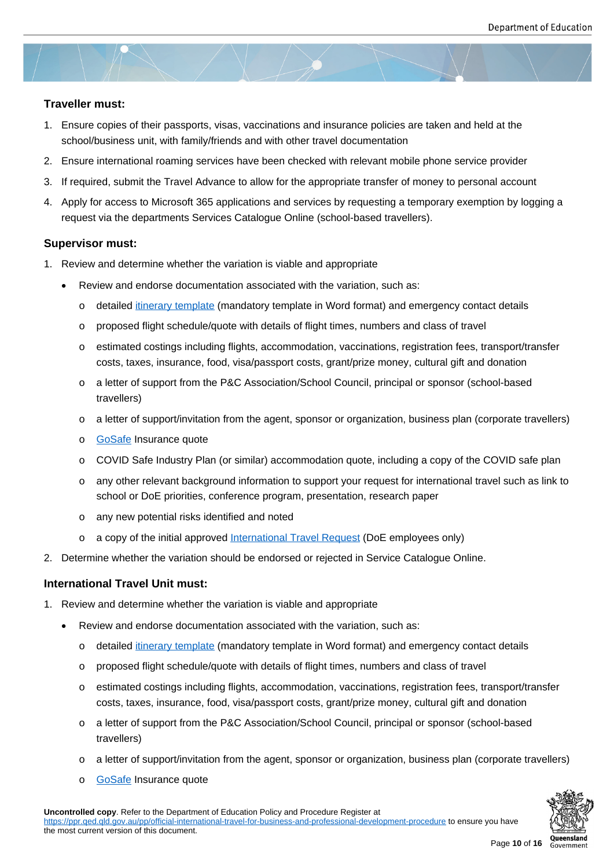#### **Traveller must:**

- 1. Ensure copies of their passports, visas, vaccinations and insurance policies are taken and held at the school/business unit, with family/friends and with other travel documentation
- 2. Ensure international roaming services have been checked with relevant mobile phone service provider
- 3. If required, submit the Travel Advance to allow for the appropriate transfer of money to personal account
- 4. Apply for access to Microsoft 365 applications and services by requesting a temporary exemption by logging a request via the departments Services Catalogue Online (school-based travellers).

#### **Supervisor must:**

- 1. Review and determine whether the variation is viable and appropriate
	- Review and endorse documentation associated with the variation, such as:
		- o detailed itinerary template (mandatory template in Word format) and emergency contact details
		- o proposed flight schedule/quote with details of flight times, numbers and class of travel
		- o estimated costings including flights, accommodation, vaccinations, registration fees, transport/transfer costs, ta[xes, insurance, fo](https://ppr.qed.qld.gov.au/attachment/official-international-travel-for-business-and-professional-development-itinerary-template.docx)od, visa/passport costs, grant/prize money, cultural gift and donation
		- o a letter of support from the P&C Association/School Council, principal or sponsor (school-based travellers)
		- o a letter of support/invitation from the agent, sponsor or organization, business plan (corporate travellers)
		- o GoSafe Insurance quote
		- o COVID Safe Industry Plan (or similar) accommodation quote, including a copy of the COVID safe plan
		- o any other relevant background information to support your request for international travel such as link to [school o](https://www.gosafeinsurance.com.au/)r DoE priorities, conference program, presentation, research paper
		- o any new potential risks identified and noted
		- $\circ$  a copy of the initial approved International Travel Request (DoE employees only)
- 2. Determine whether the variation should be endorsed or rejected in Service Catalogue Online.

#### **International Travel Unit must:**

- 1. Review and determine whether the variation is viable and appropriate
	- Review and endorse documentation associated with the variation, such as:
		- o detailed itinerary template (mandatory template in Word format) and emergency contact details
		- o proposed flight schedule/quote with details of flight times, numbers and class of travel
		- o estimated costings including flights, accommodation, vaccinations, registration fees, transport/transfer costs, ta[xes, insurance, fo](https://ppr.qed.qld.gov.au/attachment/official-international-travel-for-business-and-professional-development-itinerary-template.docx)od, visa/passport costs, grant/prize money, cultural gift and donation
		- o a letter of support from the P&C Association/School Council, principal or sponsor (school-based travellers)
		- o a letter of support/invitation from the agent, sponsor or organization, business plan (corporate travellers)
		- o GoSafe Insurance quote



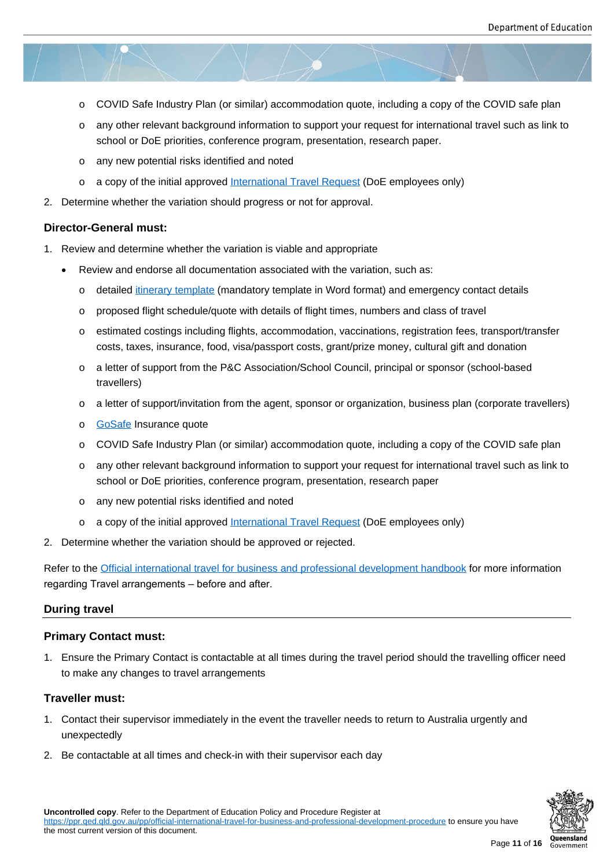- o COVID Safe Industry Plan (or similar) accommodation quote, including a copy of the COVID safe plan
- o any other relevant background information to support your request for international travel such as link to school or DoE priorities, conference program, presentation, research paper.
- o any new potential risks identified and noted
- o a copy of the initial approved International Travel Request (DoE employees only)
- 2. Determine whether the variation should progress or not for approval.

#### **Director-General must:**

- 1. Review and determine whether the variation is viable and appropriate
	- Review and endorse all documentation associated with the variation, such as:
		- o detailed itinerary template (mandatory template in Word format) and emergency contact details
		- o proposed flight schedule/quote with details of flight times, numbers and class of travel
		- o estimated costings including flights, accommodation, vaccinations, registration fees, transport/transfer costs, ta[xes, insurance, fo](https://ppr.qed.qld.gov.au/attachment/official-international-travel-for-business-and-professional-development-itinerary-template.docx)od, visa/passport costs, grant/prize money, cultural gift and donation
		- o a letter of support from the P&C Association/School Council, principal or sponsor (school-based travellers)
		- o a letter of support/invitation from the agent, sponsor or organization, business plan (corporate travellers)
		- o GoSafe Insurance quote
		- o COVID Safe Industry Plan (or similar) accommodation quote, including a copy of the COVID safe plan
		- o any other relevant background information to support your request for international travel such as link to [school o](https://www.gosafeinsurance.com.au/)r DoE priorities, conference program, presentation, research paper
		- o any new potential risks identified and noted
		- o a copy of the initial approved International Travel Request (DoE employees only)
- 2. Determine whether the variation should be approved or rejected.

Refer to the Official international travel fo[r business and professional d](https://qlddet.service-now.com/nav_to.do?uri=%2Fhome.do)evelopment handbook for more information regarding Travel arrangements – before and after.

#### **During tra[vel](https://ppr.qed.qld.gov.au/attachment/official-international-travel-for-business-and-professional-development-handbook.docx)**

#### **Primary Contact must:**

1. Ensure the Primary Contact is contactable at all times during the travel period should the travelling officer need to make any changes to travel arrangements

#### **Traveller must:**

- 1. Contact their supervisor immediately in the event the traveller needs to return to Australia urgently and unexpectedly
- 2. Be contactable at all times and check-in with their supervisor each day

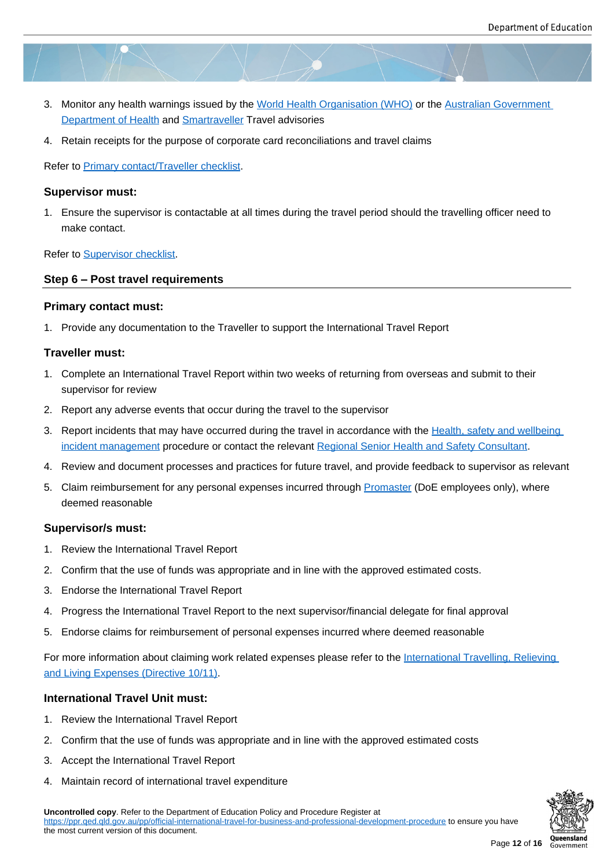- 3. Monitor any health warnings issued by the World Health Organisation (WHO) or the Australian Government Department of Health and Smartraveller Travel advisories
- 4. Retain receipts for the purpose of corporate card reconciliations and travel claims

Ref[er to Primary contact/T](https://www.health.gov.au/)rav[eller checklist.](https://www.smartraveller.gov.au/)

#### **Supervisor must:**

1. Ens[ure the supervisor is contactable at](https://ppr.qed.qld.gov.au/attachment/primary-contact-traveller-checklist.docx) all times during the travel period should the travelling officer need to make contact.

Refer to **Supervisor** checklist.

#### **Step 6 – Post travel requirements**

#### **Primar[y contact must:](https://ppr.qed.qld.gov.au/attachment/supervisor-checklist.docx)**

1. Provide any documentation to the Traveller to support the International Travel Report

#### **Traveller must:**

- 1. Complete an International Travel Report within two weeks of returning from overseas and submit to their supervisor for review
- 2. Report any adverse events that occur during the travel to the supervisor
- 3. Report incidents that may have occurred during the travel in accordance with the Health, safety and wellbeing incident management procedure or contact the relevant Regional Senior Health and Safety Consultant.
- 4. Review and document processes and practices for future travel, and provide feedback to supervisor as relevant
- 5. Claim reimbursement for any personal expenses incurr[ed through Promaster \(Do](https://education.qld.gov.au/initiatives-and-strategies/health-and-wellbeing/workplaces/contacts)E employees only), where [deemed reasonable](https://ppr.qed.qld.gov.au/pp/health-safety-and-wellbeing-incident-management-procedure)

#### **Supervisor/s must:**

- 1. Review the International Travel Report
- 2. Confirm that the use of funds was appropriate and in line with the approved estimated costs.
- 3. Endorse the International Travel Report
- 4. Progress the International Travel Report to the next supervisor/financial delegate for final approval
- 5. Endorse claims for reimbursement of personal expenses incurred where deemed reasonable

For more information about claiming work related expenses please refer to the International Travelling, Relieving and Living Expenses (Directive 10/11).

#### **International Travel Unit must:**

- 1. [Review the International Travel Re](https://www.forgov.qld.gov.au/documents/directive/1011/international-travelling-relieving-and-living-expenses)port
- 2. Confirm that the use of funds was appropriate and in line with the approved estimated costs
- 3. Accept the International Travel Report
- 4. Maintain record of international travel expenditure

**Uncontrolled copy**. Refer to the Department of Education Policy and Procedure Register at https://ppr.qed.qld.gov.au/pp/official-international-travel-for-business-and-professional-development-procedure to ensure you have the most current version of this document.

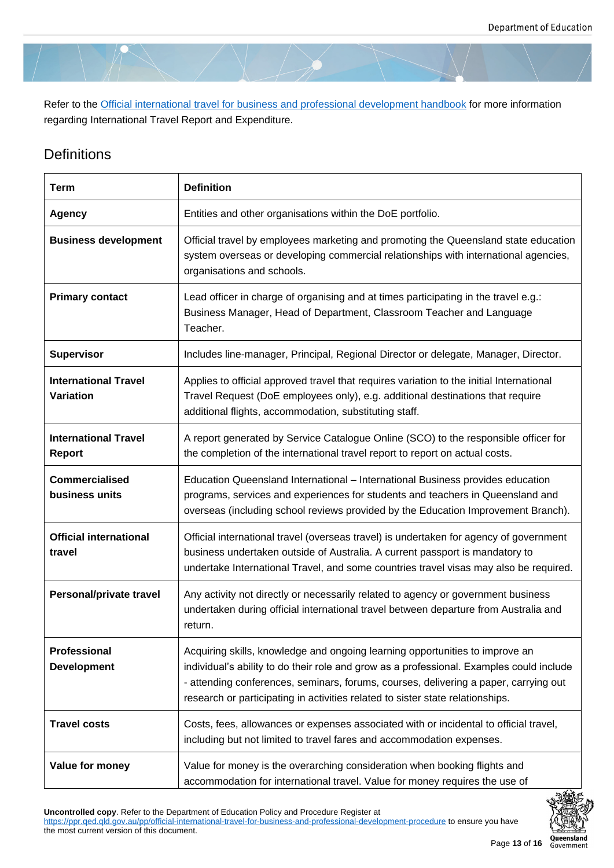Refer to the Official international travel for business and professional development handbook for more information regarding International Travel Report and Expenditure.

## **Definitio[ns](https://ppr.qed.qld.gov.au/attachment/official-international-travel-for-business-and-professional-development-handbook.docx)**

| <b>Term</b>                                     | <b>Definition</b>                                                                                                                                                                                                                                                                                                                                  |
|-------------------------------------------------|----------------------------------------------------------------------------------------------------------------------------------------------------------------------------------------------------------------------------------------------------------------------------------------------------------------------------------------------------|
| <b>Agency</b>                                   | Entities and other organisations within the DoE portfolio.                                                                                                                                                                                                                                                                                         |
| <b>Business development</b>                     | Official travel by employees marketing and promoting the Queensland state education<br>system overseas or developing commercial relationships with international agencies,<br>organisations and schools.                                                                                                                                           |
| <b>Primary contact</b>                          | Lead officer in charge of organising and at times participating in the travel e.g.:<br>Business Manager, Head of Department, Classroom Teacher and Language<br>Teacher.                                                                                                                                                                            |
| <b>Supervisor</b>                               | Includes line-manager, Principal, Regional Director or delegate, Manager, Director.                                                                                                                                                                                                                                                                |
| <b>International Travel</b><br><b>Variation</b> | Applies to official approved travel that requires variation to the initial International<br>Travel Request (DoE employees only), e.g. additional destinations that require<br>additional flights, accommodation, substituting staff.                                                                                                               |
| <b>International Travel</b><br><b>Report</b>    | A report generated by Service Catalogue Online (SCO) to the responsible officer for<br>the completion of the international travel report to report on actual costs.                                                                                                                                                                                |
| <b>Commercialised</b><br>business units         | Education Queensland International - International Business provides education<br>programs, services and experiences for students and teachers in Queensland and<br>overseas (including school reviews provided by the Education Improvement Branch).                                                                                              |
| <b>Official international</b><br>travel         | Official international travel (overseas travel) is undertaken for agency of government<br>business undertaken outside of Australia. A current passport is mandatory to<br>undertake International Travel, and some countries travel visas may also be required.                                                                                    |
| Personal/private travel                         | Any activity not directly or necessarily related to agency or government business<br>undertaken during official international travel between departure from Australia and<br>return.                                                                                                                                                               |
| <b>Professional</b><br><b>Development</b>       | Acquiring skills, knowledge and ongoing learning opportunities to improve an<br>individual's ability to do their role and grow as a professional. Examples could include<br>- attending conferences, seminars, forums, courses, delivering a paper, carrying out<br>research or participating in activities related to sister state relationships. |
| <b>Travel costs</b>                             | Costs, fees, allowances or expenses associated with or incidental to official travel,<br>including but not limited to travel fares and accommodation expenses.                                                                                                                                                                                     |
| Value for money                                 | Value for money is the overarching consideration when booking flights and<br>accommodation for international travel. Value for money requires the use of                                                                                                                                                                                           |

**Uncontrolled copy**. Refer to the Department of Education Policy and Procedure Register at

https://ppr.qed.qld.gov.au/pp/official-international-travel-for-business-and-professional-development-procedure to ensure you have the most current version of this document.

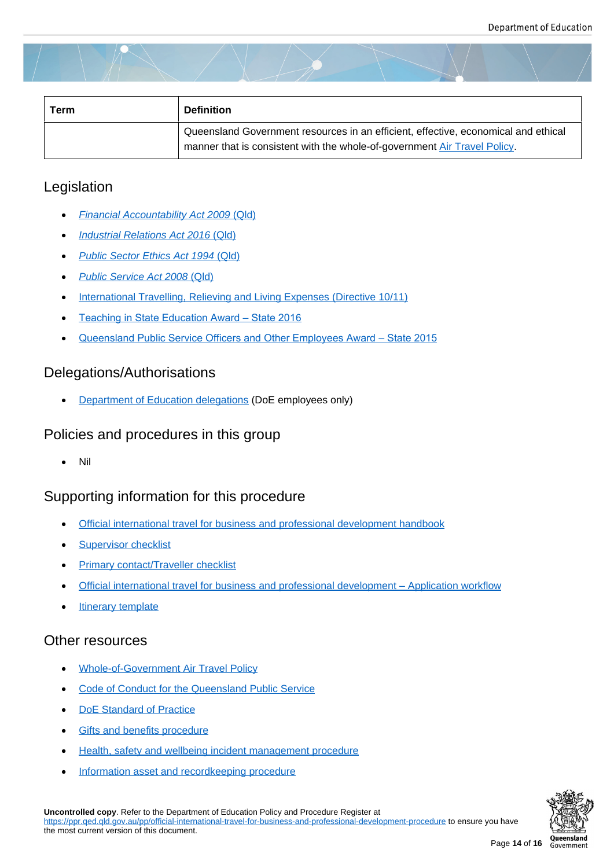| Term | <b>Definition</b>                                                                                                                                               |
|------|-----------------------------------------------------------------------------------------------------------------------------------------------------------------|
|      | Queensland Government resources in an efficient, effective, economical and ethical<br>manner that is consistent with the whole-of-government Air Travel Policy. |

## Legislation

- *Financial Accountability Act 2009* (Qld)
- *Industrial Relations Act 2016* (Qld)
- *[Public Sector Ethics Act 1994](https://www.legislation.qld.gov.au/view/html/inforce/current/act-2009-009)* (Q[ld\)](https://www.legislation.qld.gov.au/view/html/inforce/current/act-2009-009)
- *[Public Service Act 2008](https://www.legislation.qld.gov.au/view/html/inforce/current/act-2016-063)* (Qld[\)](https://www.legislation.qld.gov.au/view/html/inforce/current/act-2016-063)
- [International Travelling, Relieving an](https://www.legislation.qld.gov.au/view/html/inforce/current/act-1994-067)d Living Expenses (Directive 10/11)
- [Teaching in State Education A](https://www.legislation.qld.gov.au/view/html/inforce/current/act-2008-038)ward State 2016
- [Queensland Public Service Officers and Other Employees Award State](https://www.forgov.qld.gov.au/documents/directive/1011/international-travelling-relieving-and-living-expenses) 2015

## Dele[gations/Authorisations](https://www.qirc.qld.gov.au/sites/default/files/teaching_in_state_education_decision_1.pdf?v=1542323965)

Department of Education delegations (DoE employees only)

## Policies and procedures in this group

Nil

## Supporting information for this procedure

- Official international travel for business and professional development handbook
- **Supervisor checklist**
- [Primary contact/Traveller checklist](https://ppr.qed.qld.gov.au/attachment/official-international-travel-for-business-and-professional-development-handbook.docx)
- [Official international](https://ppr.qed.qld.gov.au/attachment/supervisor-checklist.docx) travel for business and professional development Application workflow
- [Itinerary template](https://ppr.qed.qld.gov.au/attachment/primary-contact-traveller-checklist.docx)

## Othe[r resources](https://ppr.qed.qld.gov.au/attachment/official-international-travel-for-business-and-professional-development-application-workflow.pdf)

- Whole-of-Government Air Travel Policy
- Code of Conduct for the Queensland Public Service
- [DoE Standard of Practice](http://procurement.govnet.qld.gov.au/travel/Documents/Air_Travel_Policy.pdf)
- [Gifts and benefits procedure](https://qed.qld.gov.au/working-with-us/induction/department/induction-programs-and-resources/code-of-conduct)
- [Health, safety and wellbei](https://qed.qld.gov.au/workingwithus/induction/workingforthedepartment/inductionandonboarding/Documents/code-of-conduct-standard-of-practice.pdf)ng incident management procedure
- [Information asset and record](https://ppr.qed.qld.gov.au/pp/gifts-and-benefits-procedure)keeping procedure

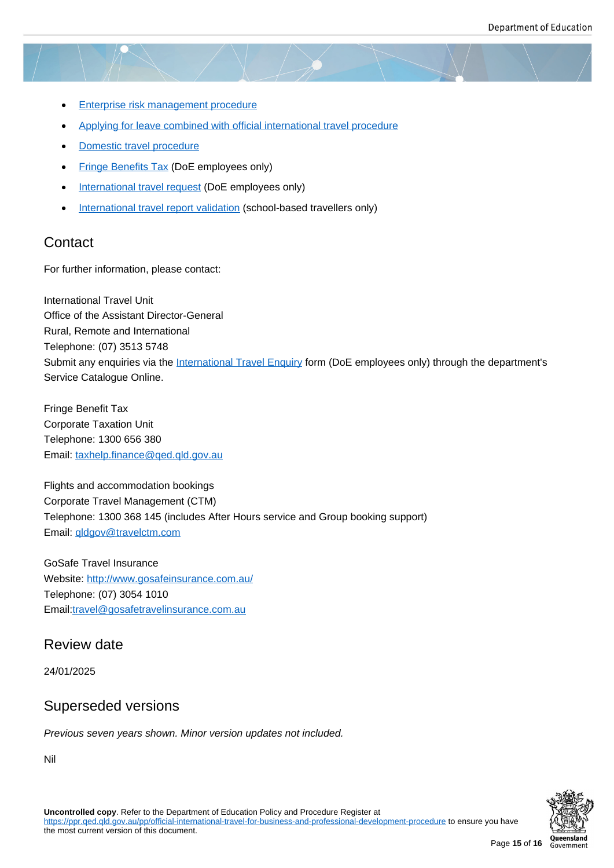- Enterprise risk management procedure
- Applying for leave combined with official international travel procedure
- [Domestic travel procedure](https://ppr.qed.qld.gov.au/pp/enterprise-risk-management-procedure)
- [Fringe Benefits Tax \(DoE employees only\)](https://ppr.qed.qld.gov.au/pp/applying-for-leave-combined-with-official-international-travel-procedure)
- [International travel request](https://ppr.qed.qld.gov.au/pp/domestic-travel-procedure) (DoE employees only)
- [International travel r](https://intranet.qed.qld.gov.au/Services/Finance/Taxation/FBT)eport validation (school-based travellers only)

#### **Cont[act](https://qlddet.service-now.com/sco/)**

For furt[her information, please contact:](https://intranet.qed.qld.gov.au/EducationDelivery/international/InternationalTravel/Documents/international-travel-report-validation-form.docx)

International Travel Unit Office of the Assistant Director-General Rural, Remote and International Telephone: (07) 3513 5748 Submit any enquiries via the International Travel Enquiry form (DoE employees only) through the department's Service Catalogue Online.

Fringe Benefit Tax Corporate Taxation Unit Telephone: 1300 656 380 Email: taxhelp.finance@qed.qld.gov.au

Flights and accommodation bookings Corpo[rate Travel Management \(CTM\)](mailto:taxhelp.finance@qed.qld.gov.au)  Telephone: 1300 368 145 (includes After Hours service and Group booking support) Email: qldgov@travelctm.com

GoSafe Travel Insurance Website: [http://www.gosafeins](mailto:qldgov@travelctm.com)urance.com.au/ Telephone: (07) 3054 1010 Email:travel@gosafetravelinsurance.com.au

### Review date

24/01/2025

## Superseded versions

*Previous seven years shown. Minor version updates not included.*

Nil